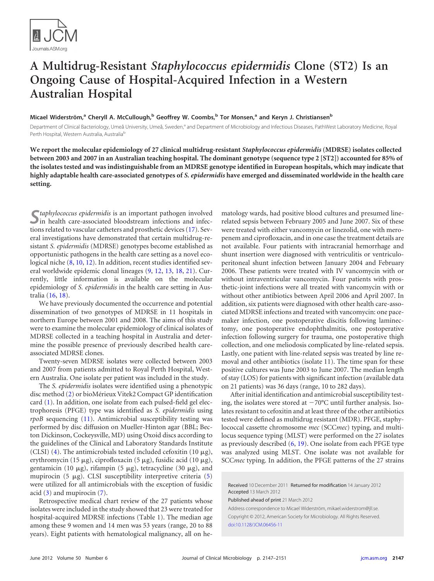

## **A Multidrug-Resistant** *Staphylococcus epidermidis* **Clone (ST2) Is an Ongoing Cause of Hospital-Acquired Infection in a Western Australian Hospital**

## **Micael Widerström, <sup>a</sup> Cheryll A. McCullough, <sup>b</sup> Geoffrey W. Coombs, <sup>b</sup> Tor Monsen, <sup>a</sup> and Keryn J. Christiansenb**

Department of Clinical Bacteriology, Umeå University, Umeå, Sweden,<sup>a</sup> and Department of Microbiology and Infectious Diseases, PathWest Laboratory Medicine, Royal Perth Hospital, Western Australia, Australia<sup>b</sup>

**We report the molecular epidemiology of 27 clinical multidrug-resistant** *Staphylococcus epidermidis* **(MDRSE) isolates collected between 2003 and 2007 in an Australian teaching hospital. The dominant genotype (sequence type 2 [ST2]) accounted for 85% of the isolates tested and was indistinguishable from an MDRSE genotype identified in European hospitals, which may indicate that highly adaptable health care-associated genotypes of** *S. epidermidis* **have emerged and disseminated worldwide in the health care setting.**

S*taphylococcus epidermidis* is an important pathogen involved<br>in health care-associated bloodstream infections and infections related to vascular catheters and prosthetic devices [\(17\)](#page-4-0). Several investigations have demonstrated that certain multidrug-resistant *S. epidermidis* (MDRSE) genotypes become established as opportunistic pathogens in the health care setting as a novel ecological niche [\(8,](#page-4-1) [10,](#page-4-2) [12\)](#page-4-3). In addition, recent studies identified several worldwide epidemic clonal lineages [\(9,](#page-4-4) [12,](#page-4-3) [13,](#page-4-5) [18,](#page-4-6) [21\)](#page-4-7). Currently, little information is available on the molecular epidemiology of *S. epidermidis* in the health care setting in Australia [\(16,](#page-4-8) [18\)](#page-4-6).

We have previously documented the occurrence and potential dissemination of two genotypes of MDRSE in 11 hospitals in northern Europe between 2001 and 2008. The aims of this study were to examine the molecular epidemiology of clinical isolates of MDRSE collected in a teaching hospital in Australia and determine the possible presence of previously described health careassociated MDRSE clones.

Twenty-seven MDRSE isolates were collected between 2003 and 2007 from patients admitted to Royal Perth Hospital, Western Australia. One isolate per patient was included in the study.

The *S. epidermidis* isolates were identified using a phenotypic disc method [\(2\)](#page-4-9) or bioMérieux Vitek2 Compact GP identification card [\(1\)](#page-4-10). In addition, one isolate from each pulsed-field gel electrophoresis (PFGE) type was identified as *S. epidermidis* using *rpoB* sequencing [\(11\)](#page-4-11). Antimicrobial susceptibility testing was performed by disc diffusion on Mueller-Hinton agar (BBL; Becton Dickinson, Cockeysville, MD) using Oxoid discs according to the guidelines of the Clinical and Laboratory Standards Institute (CLSI) [\(4\)](#page-4-12). The antimicrobials tested included cefoxitin (10  $\mu$ g), erythromycin (15  $\mu$ g), ciprofloxacin (5  $\mu$ g), fusidic acid (10  $\mu$ g), gentamicin (10  $\mu$ g), rifampin (5  $\mu$ g), tetracycline (30  $\mu$ g), and mupirocin (5  $\mu$ g). CLSI susceptibility interpretive criteria [\(5\)](#page-4-13) were utilized for all antimicrobials with the exception of fusidic acid  $(3)$  and mupirocin  $(7)$ .

Retrospective medical chart review of the 27 patients whose isolates were included in the study showed that 23 were treated for hospital-acquired MDRSE infections (Table 1). The median age among these 9 women and 14 men was 53 years (range, 20 to 88 years). Eight patients with hematological malignancy, all on he-

matology wards, had positive blood cultures and presumed linerelated sepsis between February 2005 and June 2007. Six of these were treated with either vancomycin or linezolid, one with meropenem and ciprofloxacin, and in one case the treatment details are not available. Four patients with intracranial hemorrhage and shunt insertion were diagnosed with ventriculitis or ventriculoperitoneal shunt infection between January 2004 and February 2006. These patients were treated with IV vancomycin with or without intraventricular vancomycin. Four patients with prosthetic-joint infections were all treated with vancomycin with or without other antibiotics between April 2006 and April 2007. In addition, six patients were diagnosed with other health care-associated MDRSE infections and treated with vancomycin: one pacemaker infection, one postoperative discitis following laminectomy, one postoperative endophthalmitis, one postoperative infection following surgery for trauma, one postoperative thigh collection, and one meliodosis complicated by line-related sepsis. Lastly, one patient with line-related sepsis was treated by line removal and other antibiotics (isolate 11). The time span for these positive cultures was June 2003 to June 2007. The median length of stay (LOS) for patients with significant infection (available data on 21 patients) was 36 days (range, 10 to 282 days).

After initial identification and antimicrobial susceptibility testing, the isolates were stored at  $-70^{\circ}$ C until further analysis. Isolates resistant to cefoxitin and at least three of the other antibiotics tested were defined as multidrug resistant (MDR). PFGE, staphylococcal cassette chromosome *mec* (SCC*mec*) typing, and multilocus sequence typing (MLST) were performed on the 27 isolates as previously described [\(6,](#page-4-16) [19\)](#page-4-17). One isolate from each PFGE type was analyzed using MLST. One isolate was not available for SCC*mec* typing. In addition, the PFGE patterns of the 27 strains

Received 10 December 2011 Returned for modification 14 January 2012 Accepted 13 March 2012

Published ahead of print 21 March 2012

Address correspondence to Micael Widerström, mikael.widerstrom@jll.se. Copyright © 2012, American Society for Microbiology. All Rights Reserved. [doi:10.1128/JCM.06456-11](http://dx.doi.org/10.1128/JCM.06456-11)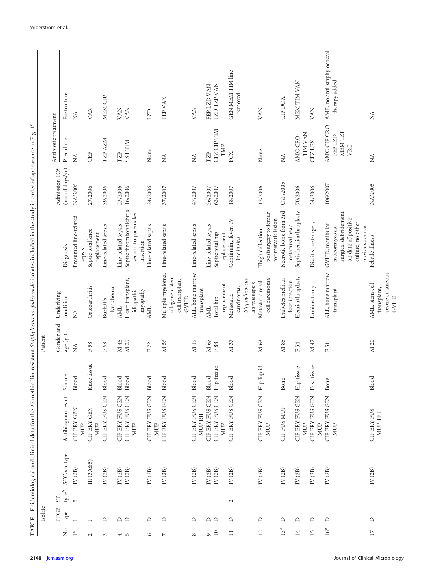|                         |                                                                   |                                        |                                  |             |                     |                                                   | TABLE 1 Epidemiological and clinical data for the 27 methicillin-resistant Staphylococcus epidermidis isolates included in the study in order of appearance in Fig. 1 <sup>c</sup> |                  |                              |                             |
|-------------------------|-------------------------------------------------------------------|----------------------------------------|----------------------------------|-------------|---------------------|---------------------------------------------------|------------------------------------------------------------------------------------------------------------------------------------------------------------------------------------|------------------|------------------------------|-----------------------------|
|                         | Isolate                                                           |                                        |                                  |             | Patient             |                                                   |                                                                                                                                                                                    |                  |                              |                             |
|                         | PFGE                                                              | S <sub>T</sub>                         |                                  |             | Gender and          | Underlying                                        |                                                                                                                                                                                    | Admission LOS    | Antibiotic treatment         |                             |
| $\overline{\mathsf{a}}$ | type                                                              | SCCmec type<br>$\operatorname{type}^b$ | Antibiogram result               | Source      | age $(\mathrm{yr})$ | condition                                         | Diagnosis                                                                                                                                                                          | (no. of days/yr) | Preculture                   | Postculture                 |
| 1 <sup>a</sup>          |                                                                   | $\rm IV$ (2B)<br>$\overline{5}$        | <b>CIP ERY GEN</b>               | Blood       | $\lessapprox$       | $\tilde{M}$                                       | Presumed line-related                                                                                                                                                              | NA/2006          | Ž                            | $\lesssim$                  |
| $\sim$                  |                                                                   | III (3A&5)                             | <b>CIP ERY GEN</b><br><b>MUP</b> | Knee tissue | F 58                | Osteoarthritis                                    | Septic total knee<br>sepsis                                                                                                                                                        | 27/2006          | CEF                          | VAN                         |
|                         |                                                                   |                                        | <b>MUP</b>                       |             |                     |                                                   | replacement                                                                                                                                                                        |                  |                              |                             |
| 3                       | $\Box$                                                            | $\rm IV$ $(2B)$                        | CIP ERY FUS GEN                  | Blood       | F63                 | Burkitt's                                         | Line-related sepsis                                                                                                                                                                | 39/2006          | TZP AZM                      | MEM CIP                     |
|                         |                                                                   | $\rm{IV}$ (2B)                         | CIP ERY FUS GEN                  | Blood       | M 48                | lymphoma<br><b>AML</b>                            | Line-related sepsis                                                                                                                                                                | 23/2006          | TZP                          | VAN                         |
| 4 rv                    | $\begin{array}{c} \n\Box \quad \Box \quad \end{array}$            | $\rm IV$ $(2B)$                        | CIP ERY FUS GEN                  | Blood       | M 29                | Heart transplant,                                 | Septic thrombophlebitis                                                                                                                                                            | 16/2006          | <b>SXTTIM</b>                | VAN                         |
|                         |                                                                   |                                        | <b>MUP</b>                       |             |                     | idiopathic                                        | second to pacemaker                                                                                                                                                                |                  |                              |                             |
| $\circ$                 | $\square$                                                         | $\rm{IV}$ (2B)                         | CIP ERY FUS GEN                  | Blood       | F72                 | myopathy<br><b>AML</b>                            | Line-related sepsis<br>insertion                                                                                                                                                   | 24/2006          | None                         | LZD                         |
|                         |                                                                   |                                        | <b>MUP</b>                       |             |                     |                                                   |                                                                                                                                                                                    |                  |                              |                             |
| $\overline{ }$          | $\Box$                                                            | $\rm{IV}$ (2B)                         | CIP ERY FUS GEN                  | Blood       | M <sub>56</sub>     | Multiple myeloma,<br>allogeneic stem              | Line-related sepsis                                                                                                                                                                | 37/2007          | $\lesssim$                   | FEP VAN                     |
|                         |                                                                   |                                        |                                  |             |                     | cell transplant,<br>GVHD                          |                                                                                                                                                                                    |                  |                              |                             |
| $\infty$                | $\Box$                                                            | $\rm{IV}$ (2B)                         | CIP ERY FUS GEN<br>MUP RIF       | Blood       | M <sub>19</sub>     | ALL, bone marrow<br>transplant                    | Line-related sepsis                                                                                                                                                                | 47/2007          | $\lessapprox$                | VAN                         |
| $\sigma$                |                                                                   | $\rm{IV}$ (2B)                         | CIP ERY FUS GEN                  | Blood       | $\rm M$ 67          | <b>AML</b>                                        | Line-related sepsis                                                                                                                                                                | 36/2007          | TZP                          | FEP LZD VAN                 |
| 10                      | $\begin{array}{c} \n\Box \quad \Box \quad \Box \quad \end{array}$ | $\rm IV$ $(2B)$                        | CIP ERY FUS GEN                  | Hip tissue  | ${\rm F} \, 88$     | Total hip                                         | Septic total hip                                                                                                                                                                   | 63/2007          | CFZ CIP TIM                  | LZD TZP VAN                 |
|                         |                                                                   |                                        | MUP                              |             |                     | replacement                                       | replacement                                                                                                                                                                        |                  | TMP                          |                             |
| $\Box$                  | $\Box$                                                            | $\rm IV$ (2B)<br>$\sim$                | CIP ERY FUS GEN                  | Blood       | M 37                | Metastatic                                        | Continuing fever, IV                                                                                                                                                               | 18/2007          | FCX                          | GEN MEM TIM line            |
|                         |                                                                   |                                        |                                  |             |                     | Staphylococcus<br>carcinoma,                      | line in situ                                                                                                                                                                       |                  |                              | removed                     |
| 12                      | ≏                                                                 | $\rm IV$ $(2B)$                        | CIP ERY FUS GEN                  | Hip liquid  | M <sub>63</sub>     | Metastatic renal<br>aureus sepsis                 | Thigh collection                                                                                                                                                                   | 12/2006          | None                         | VAN                         |
|                         |                                                                   |                                        | <b>MUP</b>                       |             |                     | cell carcinoma                                    | postsurgery to femur<br>for metastic lesion                                                                                                                                        |                  |                              |                             |
| $13^a$                  | ≏                                                                 | $\rm{IV}$ (2B)                         | CIP FUS MUP                      | Bone        | M 85                | Diabetes mellitus                                 | Necrotic bone from 3rd                                                                                                                                                             | O/P/2005         | $\stackrel{\triangle}{\geq}$ | CIP DOX                     |
|                         |                                                                   |                                        |                                  |             |                     | foot infection                                    | metatarsal head                                                                                                                                                                    |                  |                              |                             |
| $\overline{14}$         | $\Box$                                                            | $\rm IV$ $(2B)$                        | CIP ERY FUS GEN<br><b>MUP</b>    | Hip tissue  | F54                 | Hemiarthroplasty                                  | Septic hemiarthroplasty                                                                                                                                                            | 70/2006          | TIM VAN<br>AMC CRO           | MEM TIM VAN                 |
| $\overline{5}$          | $\Box$                                                            | $\rm{IV}$ (2B)                         | CIP ERY FUS GEN<br>MUP           | Disc tissue | M 42                | Laminectomy                                       | Discitis postsurgery                                                                                                                                                               | 24/2006          | <b>CFZLEX</b>                | VAN                         |
| $16^a$                  | $\Box$                                                            | $\rm{IV}$ (2B)                         | CIP ERY FUS GEN                  | Bone        | F51                 | ALL, bone marrow                                  | GVHD, manibular                                                                                                                                                                    | 106/2007         | AMC CIP CRO                  | AMB, no anti-staphylococcal |
|                         |                                                                   |                                        | <b>MUP</b>                       |             |                     | transplant                                        | surgical debridement<br>mucormycosis,                                                                                                                                              |                  | MEM TZP<br>FEP LZD           | therapy added               |
|                         |                                                                   |                                        |                                  |             |                     |                                                   | on date of positive                                                                                                                                                                |                  | <b>VRC</b>                   |                             |
|                         |                                                                   |                                        |                                  |             |                     |                                                   | culture; no other<br>obvious source                                                                                                                                                |                  |                              |                             |
| $\overline{17}$         | $\hfill \Box$                                                     | IV $(2B)$                              | <b>CIP ERY FUS</b><br>MUP TET    | Blood       | M 20                | severe cutaneous<br>AML, stem cell<br>transplant, | Febrile illness                                                                                                                                                                    | NA/2005          | Ź                            | $\lesssim$                  |
|                         |                                                                   |                                        |                                  |             |                     | GVHD                                              |                                                                                                                                                                                    |                  |                              |                             |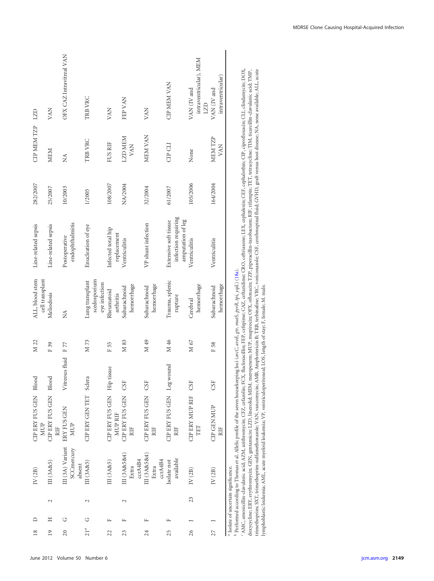| $\frac{8}{2}$ | ≏ |        | IV(2B)                                          | CIP ERY FUS GEN Blood<br>MUP                                                                                                         |                    | M 22            | ALL, blood stem                                  | Line-related sepsis                                               | 282/2007 | <b>CIP MEM TZP</b>    | LZD                                          |
|---------------|---|--------|-------------------------------------------------|--------------------------------------------------------------------------------------------------------------------------------------|--------------------|-----------------|--------------------------------------------------|-------------------------------------------------------------------|----------|-----------------------|----------------------------------------------|
| 19            | Ξ | $\sim$ | III (3A&5)                                      | CIP ERY FUS GEN<br>RIF                                                                                                               | Blood              | F39             | cell transplant<br>Meliodosis                    | Line-related sepsis                                               | 25/2007  | <b>MEM</b>            | VAN                                          |
| 20            | ゥ |        | III (3A) Variant<br>SCCmercury<br>absent        | ERY FUS GEN<br>MUP                                                                                                                   | Vitreous fluid F77 |                 | Ź                                                | endophthalmitis<br>Postoperative                                  | 10/2003  | Ź                     | OFX CAZ Intravitreal VAN                     |
| $21^a$        | U | $\sim$ | III(3A85)                                       | CIP ERY GEN TET Sclera                                                                                                               |                    | M 73            | scedosporium<br>Lung transplant<br>eye infection | Enucleation of eye                                                | 1/2005   | TRB VRC               | TRB VRC                                      |
| 22            | щ |        | III (3A&5)                                      | CIP ERY FUS GEN Hip<br>MUP RIF                                                                                                       | tissue             | F55             | Rheumatoid<br>arthritis                          | Infected total hip<br>replacement                                 | 108/2007 | FUS RIF               | VAN                                          |
| 23            | щ | $\sim$ | III (3A&5&4)<br>ccrA4B4<br>Extra                | CIP ERY FUS GEN<br>RIF                                                                                                               | CSF                | M 83            | hemorrhage<br>Subarachnoid                       | Ventriculitis                                                     | NA/2004  | LZD MEM<br>VAN        | FEP VAN                                      |
| 24            |   |        | III (3A&5&4)<br>ccrA4B4<br>Extra                | CIP ERY FUS GEN CSF<br>RIF                                                                                                           |                    | M <sub>49</sub> | hemorrhage<br>Subarachnoid                       | VP shunt infection                                                | 32/2004  | MEM VAN               | VAN                                          |
| 25            | щ |        | available<br>Isolate not                        | CIP ERY FUS GEN Leg wound<br>RIF                                                                                                     |                    | M 46            | Trauma, splenic<br>rupture                       | infection requiring<br>amputation of leg<br>Extensive soft tissue | 61/2007  | CIP CLI               | <b>CIP MEM VAN</b>                           |
| 26            |   | 23     | $\rm IV$ $(2B)$                                 | <b>CIPERY MUP RIF</b><br>TET                                                                                                         | CSF                | M 67            | hemorrhage<br>Cerebral                           | Ventriculitis                                                     | 105/2006 | None                  | intraventricular), MEM<br>VAN (IV and<br>LZD |
| 27            |   |        | IV(2B)                                          | <b>CIP GEN MUP</b><br>RIF                                                                                                            | CSF                | F 58            | hemorrhage<br>Subarachnoid                       | Ventriculitis                                                     | 164/2004 | MEM TZP<br><b>VAN</b> | intraventricular)<br>VAN (IV and             |
|               |   |        | <sup>a</sup> Isolate of uncertain significance. | b Performed according to Thomas et al. Allelic profile of the seven housekeeping loci (arcC, aroE, gr, mutS, pyrR, tpi, yqiL) (18a). |                    |                 |                                                  |                                                                   |          |                       |                                              |

lymphoblastic leukemia; AML, acute myeloid leukemia; VP, ventriculoperitoneal; LOS, length of stay; F, female; M. male.

*bc* AMC, amoxicillin-clavulanic acid; AZM, azithromycin; CFZ, cefazolin; FCX, flucloxacillin; FEP, cefepime; CAZ, ceftazidime; CRO, ceftriaxone; LEX, cephalexin; CEF, cephalothin; CIP, ciprofloxacin; CLI, clindamycin; DOX, doxycycline; ERY, erythromycin; GEN, gentamicin: LZD, linezolid; MEM, meropenem; MUP, mupirocin; OFX, ofloxacin; TZP, piperacillin-tazobactam; RIF, rifampin; TET, tetracycline; TIM, ticarcillin-clavulanic acid; TMP, trimethoprim; SXT, trimethoprim-sulfamethoxazole; VAN, vancomycin; AMB, Amphotericin B; TRB, terbinafine; VRC, voriconazole; CSF, cerebrospinal fluid; GVHD, graft versus host disease; NA, none available; ALL, acute MDRSE Clone Causing Hospital-Acquired Infection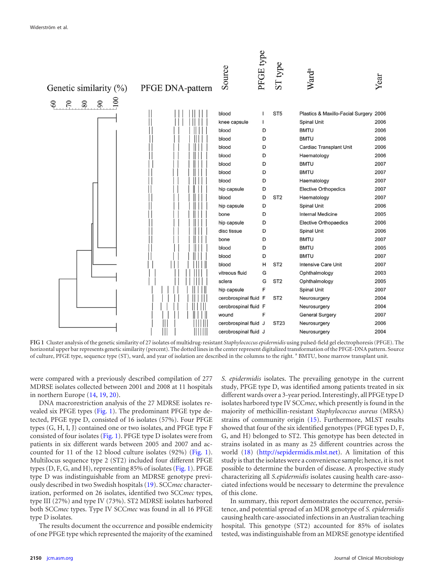

<span id="page-3-0"></span>**FIG 1** Cluster analysis of the genetic similarity of 27 isolates of multidrug-resistant *Staphylococcus epidermidis* using pulsed-field gel electrophoresis (PFGE). The horizontal upper bar represents genetic similarity (percent). The dotted lines in the center represent digitalized transformation of the PFGE-DNA pattern. Source of culture, PFGE type, sequence type (ST), ward, and year of isolation are described in the columns to the right. <sup>a</sup> BMTU, bone marrow transplant unit.

were compared with a previously described compilation of 277 MDRSE isolates collected between 2001 and 2008 at 11 hospitals in northern Europe [\(14,](#page-4-19) [19,](#page-4-17) [20\)](#page-4-20).

DNA macrorestriction analysis of the 27 MDRSE isolates revealed six PFGE types [\(Fig. 1\)](#page-3-0). The predominant PFGE type detected, PFGE type D, consisted of 16 isolates (57%). Four PFGE types (G, H, I, J) contained one or two isolates, and PFGE type F consisted of four isolates [\(Fig. 1\)](#page-3-0). PFGE type D isolates were from patients in six different wards between 2005 and 2007 and accounted for 11 of the 12 blood culture isolates (92%) [\(Fig. 1\)](#page-3-0). Multilocus sequence type 2 (ST2) included four different PFGE types (D, F, G, and H), representing 85% of isolates [\(Fig. 1\)](#page-3-0). PFGE type D was indistinguishable from an MDRSE genotype previously described in two Swedish hospitals [\(19\)](#page-4-17). SCC*mec* characterization, performed on 26 isolates, identified two SCC*mec* types, type III (27%) and type IV (73%). ST2 MDRSE isolates harbored both SCC*mec* types. Type IV SCC*mec* was found in all 16 PFGE type D isolates.

The results document the occurrence and possible endemicity of one PFGE type which represented the majority of the examined *S. epidermidis* isolates. The prevailing genotype in the current study, PFGE type D, was identified among patients treated in six different wards over a 3-year period. Interestingly, all PFGE type D isolates harbored type IV SCC*mec*, which presently is found in the majority of methicillin-resistant *Staphylococcus aureus* (MRSA) strains of community origin [\(15\)](#page-4-21). Furthermore, MLST results showed that four of the six identified genotypes (PFGE types D, F, G, and H) belonged to ST2. This genotype has been detected in strains isolated in as many as 25 different countries across the world [\(18\)](#page-4-6) (http://sepidermidis.mlst.net). A limitation of this study is that the isolates were a convenience sample; hence, it is not possible to determine the burden of disease. A prospective study characterizing all *S.epidermidis* isolates causing health care-associated infections would be necessary to determine the prevalence of this clone.

In summary, this report demonstrates the occurrence, persistence, and potential spread of an MDR genotype of *S. epidermidis* causing health care-associated infections in an Australian teaching hospital. This genotype (ST2) accounted for 85% of isolates tested, was indistinguishable from an MDRSE genotype identified